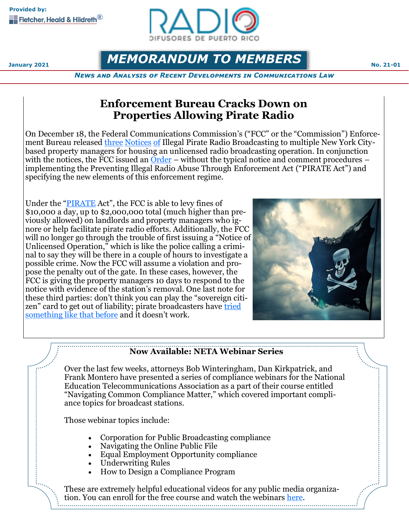

# **MEMORANDUM TO MEMBERS No. 21-01**

*News and Analysis of Recent Developments in Communications Law*

## **Enforcement Bureau Cracks Down on Properties Allowing Pirate Radio**

On December 18, the Federal Communications Commission's ("FCC" or the "Commission") Enforcement Bureau released [three](https://docs.fcc.gov/public/attachments/DOC-368827A1.pdf) [Notices](https://docs.fcc.gov/public/attachments/DOC-368826A1.pdf) [of](https://docs.fcc.gov/public/attachments/DOC-368817A1.pdf) Illegal Pirate Radio Broadcasting to multiple New York Citybased property managers for housing an unlicensed radio broadcasting operation. In conjunction with the notices, the FCC issued an  $\overline{Order}$  $\overline{Order}$  $\overline{Order}$  – without the typical notice and comment procedures – implementing the Preventing Illegal Radio Abuse Through Enforcement Act ("PIRATE Act") and specifying the new elements of this enforcement regime.

Under the ["PIRATE](https://www.congress.gov/116/plaws/publ109/PLAW-116publ109.pdf) Act", the FCC is able to levy fines of \$10,000 a day, up to \$2,000,000 total (much higher than previously allowed) on landlords and property managers who ignore or help facilitate pirate radio efforts. Additionally, the FCC will no longer go through the trouble of first issuing a "Notice of Unlicensed Operation," which is like the police calling a criminal to say they will be there in a couple of hours to investigate a possible crime. Now the FCC will assume a violation and propose the penalty out of the gate. In these cases, however, the FCC is giving the property managers 10 days to respond to the notice with evidence of the station's removal. One last note for these third parties: don't think you can play the "sovereign citizen" card to get out of liability; pirate broadcasters have tried [something](https://www.commlawblog.com/2009/11/articles/broadcast/thats-right-youre-not-from-texas/) like that before and it doesn't work.



### **Now Available: NETA Webinar Series**

Over the last few weeks, attorneys Bob Winteringham, Dan Kirkpatrick, and Frank Montero have presented a series of compliance webinars for the National Education Telecommunications Association as a part of their course entitled "Navigating Common Compliance Matter," which covered important compliance topics for broadcast stations.

Those webinar topics include:

- Corporation for Public Broadcasting compliance
- Navigating the Online Public File
- Equal Employment Opportunity compliance
- Underwriting Rules
- How to Design a Compliance Program

These are extremely helpful educational videos for any public media organization. You can enroll for the free course and watch the webinars [here.](https://catalog.publicmedialearns.org/browse/fhh/courses/navigating-common-compliance-matters)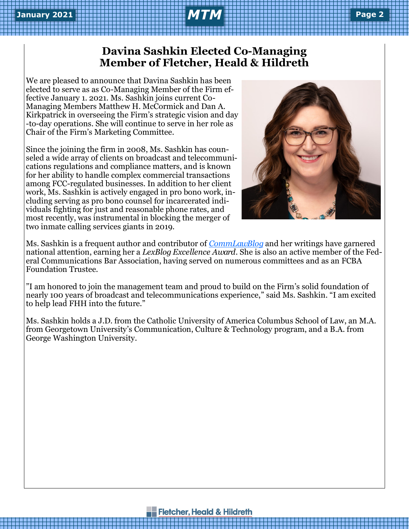## **Davina Sashkin Elected Co-Managing Member of Fletcher, Heald & Hildreth**

We are pleased to announce that Davina Sashkin has been elected to serve as as Co-Managing Member of the Firm effective January 1. 2021. Ms. Sashkin joins current Co-Managing Members Matthew H. McCormick and Dan A. Kirkpatrick in overseeing the Firm's strategic vision and day -to-day operations. She will continue to serve in her role as Chair of the Firm's Marketing Committee.

Since the joining the firm in 2008, Ms. Sashkin has counseled a wide array of clients on broadcast and telecommunications regulations and compliance matters, and is known for her ability to handle complex commercial transactions among FCC-regulated businesses. In addition to her client work, Ms. Sashkin is actively engaged in pro bono work, including serving as pro bono counsel for incarcerated individuals fighting for just and reasonable phone rates, and most recently, was instrumental in blocking the merger of two inmate calling services giants in 2019.



Ms. Sashkin is a frequent author and contributor of *[CommLawBlog](https://www.commlawblog.com/2020/08/articles/broadcast/fcc-repeals-radio-duplication-prohibitions/)* and her writings have garnered national attention, earning her a *LexBlog Excellence Award*. She is also an active member of the Federal Communications Bar Association, having served on numerous committees and as an FCBA Foundation Trustee.

"I am honored to join the management team and proud to build on the Firm's solid foundation of nearly 100 years of broadcast and telecommunications experience," said Ms. Sashkin. "I am excited to help lead FHH into the future."

Ms. Sashkin holds a J.D. from the Catholic University of America Columbus School of Law, an M.A. from Georgetown University's Communication, Culture & Technology program, and a B.A. from George Washington University.